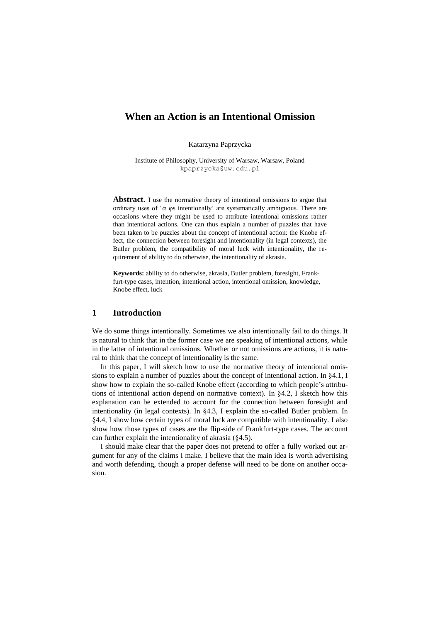# **When an Action is an Intentional Omission**

Katarzyna Paprzycka

Institute of Philosophy, University of Warsaw, Warsaw, Poland kpaprzycka@uw.edu.pl

Abstract. I use the normative theory of intentional omissions to argue that ordinary uses of ' $\alpha$   $\varphi$  intentionally' are systematically ambiguous. There are occasions where they might be used to attribute intentional omissions rather than intentional actions. One can thus explain a number of puzzles that have been taken to be puzzles about the concept of intentional action: the Knobe effect, the connection between foresight and intentionality (in legal contexts), the Butler problem, the compatibility of moral luck with intentionality, the requirement of ability to do otherwise, the intentionality of akrasia.

**Keywords:** ability to do otherwise, akrasia, Butler problem, foresight, Frankfurt-type cases, intention, intentional action, intentional omission, knowledge, Knobe effect, luck

### **1 Introduction**

We do some things intentionally. Sometimes we also intentionally fail to do things. It is natural to think that in the former case we are speaking of intentional actions, while in the latter of intentional omissions. Whether or not omissions are actions, it is natural to think that the concept of intentionality is the same.

In this paper, I will sketch how to use the normative theory of intentional omissions to explain a number of puzzles about the concept of intentional action. In §4.1, I show how to explain the so-called Knobe effect (according to which people's attributions of intentional action depend on normative context). In  $\S 4.2$ , I sketch how this explanation can be extended to account for the connection between foresight and intentionality (in legal contexts). In §4.3, I explain the so-called Butler problem. In [§4.4,](#page-7-0) I show how certain types of moral luck are compatible with intentionality. I also show how those types of cases are the flip-side of Frankfurt-type cases. The account can further explain the intentionality of akrasia (§4.5).

I should make clear that the paper does not pretend to offer a fully worked out argument for any of the claims I make. I believe that the main idea is worth advertising and worth defending, though a proper defense will need to be done on another occasion.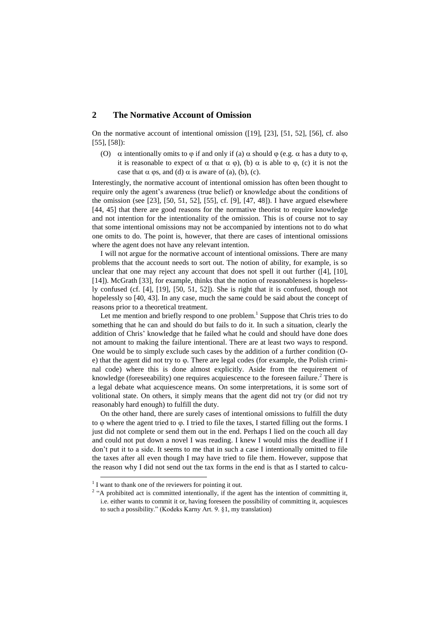### **2 The Normative Account of Omission**

On the normative account of intentional omission ([\[19\]](#page-10-0), [\[23\]](#page-10-1), [\[51,](#page-11-0) [52\]](#page-11-1), [\[56\]](#page-11-2), cf. also [\[55\]](#page-11-3), [\[58\]](#page-11-4)):

(O)  $\alpha$  intentionally omits to  $\varphi$  if and only if (a)  $\alpha$  should  $\varphi$  (e.g.  $\alpha$  has a duty to  $\varphi$ , it is reasonable to expect of  $\alpha$  that  $\alpha \varphi$ , (b)  $\alpha$  is able to  $\varphi$ , (c) it is not the case that  $\alpha$   $\varphi$ s, and (d)  $\alpha$  is aware of (a), (b), (c).

Interestingly, the normative account of intentional omission has often been thought to require only the agent's awareness (true belief) or knowledge about the conditions of the omission (see [\[23\]](#page-10-1), [\[50,](#page-11-5) [51,](#page-11-0) [52\]](#page-11-1), [\[55\]](#page-11-3), cf. [\[9\]](#page-10-2), [\[47,](#page-11-6) [48\]](#page-11-7)). I have argued elsewhere [\[44,](#page-11-8) [45\]](#page-11-9) that there are good reasons for the normative theorist to require knowledge and not intention for the intentionality of the omission. This is of course not to say that some intentional omissions may not be accompanied by intentions not to do what one omits to do. The point is, however, that there are cases of intentional omissions where the agent does not have any relevant intention.

I will not argue for the normative account of intentional omissions. There are many problems that the account needs to sort out. The notion of ability, for example, is so unclear that one may reject any account that does not spell it out further ([\[4\]](#page-10-3), [\[10\]](#page-10-4), [\[14\]](#page-10-5)). McGrath [\[33\]](#page-10-6), for example, thinks that the notion of reasonableness is hopelessly confused (cf. [\[4\]](#page-10-3), [\[19\]](#page-10-0), [\[50,](#page-11-5) [51,](#page-11-0) [52\]](#page-11-1)). She is right that it is confused, though not hopelessly so [\[40,](#page-11-10) [43\]](#page-11-11). In any case, much the same could be said about the concept of reasons prior to a theoretical treatment.

Let me mention and briefly respond to one problem.<sup>1</sup> Suppose that Chris tries to do something that he can and should do but fails to do it. In such a situation, clearly the addition of Chris' knowledge that he failed what he could and should have done does not amount to making the failure intentional. There are at least two ways to respond. One would be to simply exclude such cases by the addition of a further condition (Oe) that the agent did not try to  $\varphi$ . There are legal codes (for example, the Polish criminal code) where this is done almost explicitly. Aside from the requirement of knowledge (foreseeability) one requires acquiescence to the foreseen failure.<sup>2</sup> There is a legal debate what acquiescence means. On some interpretations, it is some sort of volitional state. On others, it simply means that the agent did not try (or did not try reasonably hard enough) to fulfill the duty.

On the other hand, there are surely cases of intentional omissions to fulfill the duty to  $\varphi$  where the agent tried to  $\varphi$ . I tried to file the taxes, I started filling out the forms. I just did not complete or send them out in the end. Perhaps I lied on the couch all day and could not put down a novel I was reading. I knew I would miss the deadline if I don't put it to a side. It seems to me that in such a case I intentionally omitted to file the taxes after all even though I may have tried to file them. However, suppose that the reason why I did not send out the tax forms in the end is that as I started to calcu-

-

 $<sup>1</sup>$  I want to thank one of the reviewers for pointing it out.</sup>

<sup>&</sup>lt;sup>2</sup> "A prohibited act is committed intentionally, if the agent has the intention of committing it, i.e. either wants to commit it or, having foreseen the possibility of committing it, acquiesces to such a possibility." (Kodeks Karny Art. 9. §1, my translation)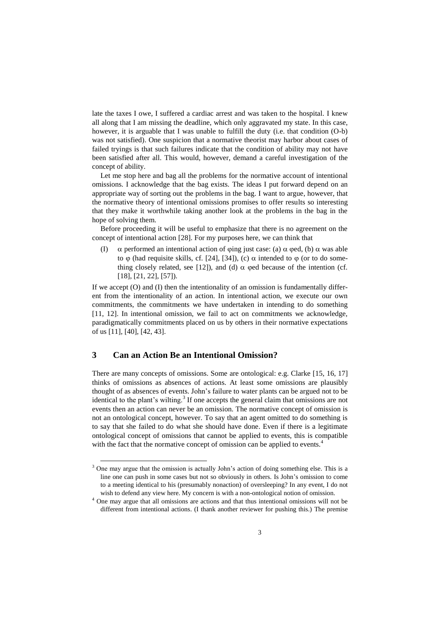late the taxes I owe, I suffered a cardiac arrest and was taken to the hospital. I knew all along that I am missing the deadline, which only aggravated my state. In this case, however, it is arguable that I was unable to fulfill the duty (i.e. that condition  $(O-b)$ ) was not satisfied). One suspicion that a normative theorist may harbor about cases of failed tryings is that such failures indicate that the condition of ability may not have been satisfied after all. This would, however, demand a careful investigation of the concept of ability.

Let me stop here and bag all the problems for the normative account of intentional omissions. I acknowledge that the bag exists. The ideas I put forward depend on an appropriate way of sorting out the problems in the bag. I want to argue, however, that the normative theory of intentional omissions promises to offer results so interesting that they make it worthwhile taking another look at the problems in the bag in the hope of solving them.

Before proceeding it will be useful to emphasize that there is no agreement on the concept of intentional action [\[28\]](#page-10-7). For my purposes here, we can think that

(I)  $\alpha$  performed an intentional action of  $\phi$ ing just case: (a)  $\alpha$   $\phi$ ed, (b)  $\alpha$  was able to  $\varphi$  (had requisite skills, cf. [\[24\]](#page-10-8), [\[34\]](#page-10-9)), (c)  $\alpha$  intended to  $\varphi$  (or to do some-thing closely related, see [\[12\]](#page-10-10)), and (d)  $\alpha$  (ped because of the intention (cf. [\[18\]](#page-10-11), [\[21,](#page-10-12) [22\]](#page-10-13), [\[57\]](#page-11-12)).

If we accept (O) and (I) then the intentionality of an omission is fundamentally different from the intentionality of an action. In intentional action, we execute our own commitments, the commitments we have undertaken in intending to do something [\[11,](#page-10-14) [12\]](#page-10-10). In intentional omission, we fail to act on commitments we acknowledge, paradigmatically commitments placed on us by others in their normative expectations of us [\[11\]](#page-10-14), [\[40\]](#page-11-10), [\[42,](#page-11-13) [43\]](#page-11-11).

### <span id="page-2-0"></span>**3 Can an Action Be an Intentional Omission?**

 $\overline{a}$ 

There are many concepts of omissions. Some are ontological: e.g. Clarke [\[15,](#page-10-15) [16,](#page-10-16) [17\]](#page-10-17) thinks of omissions as absences of actions. At least some omissions are plausibly thought of as absences of events. John's failure to water plants can be argued not to be identical to the plant's wilting.<sup>3</sup> If one accepts the general claim that omissions are not events then an action can never be an omission. The normative concept of omission is not an ontological concept, however. To say that an agent omitted to do something is to say that she failed to do what she should have done. Even if there is a legitimate ontological concept of omissions that cannot be applied to events, this is compatible with the fact that the normative concept of omission can be applied to events.<sup>4</sup>

<sup>&</sup>lt;sup>3</sup> One may argue that the omission is actually John's action of doing something else. This is a line one can push in some cases but not so obviously in others. Is John's omission to come to a meeting identical to his (presumably nonaction) of oversleeping? In any event, I do not wish to defend any view here. My concern is with a non-ontological notion of omission.

<sup>4</sup> One may argue that all omissions are actions and that thus intentional omissions will not be different from intentional actions. (I thank another reviewer for pushing this.) The premise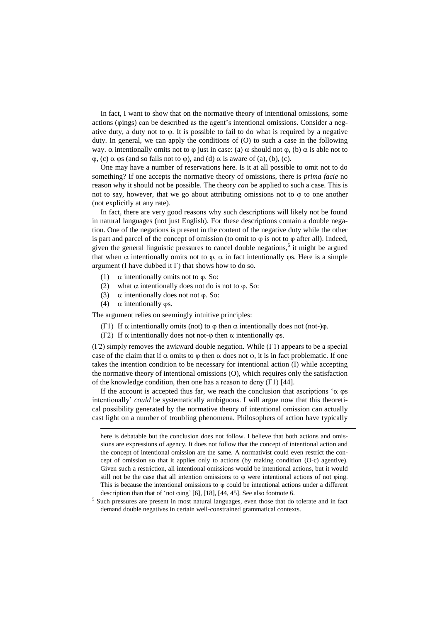In fact, I want to show that on the normative theory of intentional omissions, some actions ( $\varphi$ ings) can be described as the agent's intentional omissions. Consider a negative duty, a duty not to  $\varphi$ . It is possible to fail to do what is required by a negative duty. In general, we can apply the conditions of (O) to such a case in the following way.  $\alpha$  intentionally omits not to  $\varphi$  just in case: (a)  $\alpha$  should not  $\varphi$ , (b)  $\alpha$  is able not to  $\varphi$ , (c)  $\alpha$   $\varphi$ s (and so fails not to  $\varphi$ ), and (d)  $\alpha$  is aware of (a), (b), (c).

One may have a number of reservations here. Is it at all possible to omit not to do something? If one accepts the normative theory of omissions, there is *prima facie* no reason why it should not be possible. The theory *can* be applied to such a case. This is not to say, however, that we go about attributing omissions not to  $\varphi$  to one another (not explicitly at any rate).

In fact, there are very good reasons why such descriptions will likely not be found in natural languages (not just English). For these descriptions contain a double negation. One of the negations is present in the content of the negative duty while the other is part and parcel of the concept of omission (to omit to  $\varphi$  is not to  $\varphi$  after all). Indeed, given the general linguistic pressures to cancel double negations,<sup>5</sup> it might be argued that when  $\alpha$  intentionally omits not to  $\varphi$ ,  $\alpha$  in fact intentionally  $\varphi$ s. Here is a simple argument (I have dubbed it  $\Gamma$ ) that shows how to do so.

- (1)  $\alpha$  intentionally omits not to  $\varphi$ . So:
- (2) what  $\alpha$  intentionally does not do is not to  $\varphi$ . So:
- (3)  $\alpha$  intentionally does not not  $\varphi$ . So:
- (4)  $\alpha$  intentionally  $\varphi$ s.

-

The argument relies on seemingly intuitive principles:

- (Γ1) If  $\alpha$  intentionally omits (not) to  $\varphi$  then  $\alpha$  intentionally does not (not-) $\varphi$ .
- (Γ2) If  $\alpha$  intentionally does not not- $\varphi$  then  $\alpha$  intentionally  $\varphi$ s.

(Γ2) simply removes the awkward double negation. While (Γ1) appears to be a special case of the claim that if  $\alpha$  omits to  $\varphi$  then  $\alpha$  does not  $\varphi$ , it is in fact problematic. If one takes the intention condition to be necessary for intentional action (I) while accepting the normative theory of intentional omissions (O), which requires only the satisfaction of the knowledge condition, then one has a reason to deny  $(\Gamma 1)$  [\[44\]](#page-11-8).

If the account is accepted thus far, we reach the conclusion that ascriptions ' $\alpha$  os intentionally' *could* be systematically ambiguous. I will argue now that this theoretical possibility generated by the normative theory of intentional omission can actually cast light on a number of troubling phenomena. Philosophers of action have typically

here is debatable but the conclusion does not follow. I believe that both actions and omissions are expressions of agency. It does not follow that the concept of intentional action and the concept of intentional omission are the same. A normativist could even restrict the concept of omission so that it applies only to actions (by making condition (O-c) agentive). Given such a restriction, all intentional omissions would be intentional actions, but it would still not be the case that all intention omissions to  $\varphi$  were intentional actions of not  $\varphi$ ing. This is because the intentional omissions to  $\varphi$  could be intentional actions under a different description than that of 'not  $\varphi$ ing' [\[6\]](#page-10-18), [\[18\]](#page-10-11), [\[44,](#page-11-8) [45\]](#page-11-9). See also footnot[e 6.](#page-5-0)

<sup>&</sup>lt;sup>5</sup> Such pressures are present in most natural languages, even those that do tolerate and in fact demand double negatives in certain well-constrained grammatical contexts.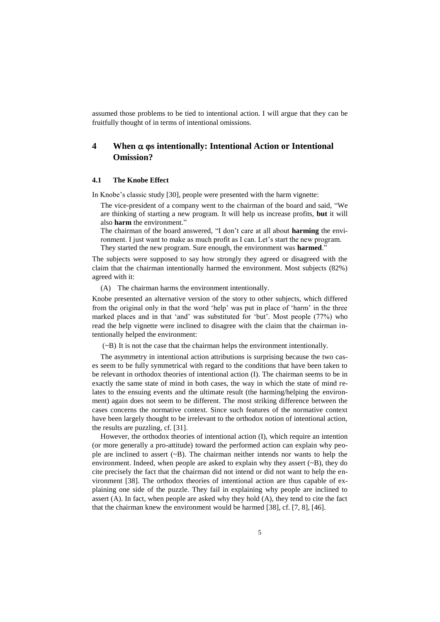assumed those problems to be tied to intentional action. I will argue that they can be fruitfully thought of in terms of intentional omissions.

## **4 When s intentionally: Intentional Action or Intentional Omission?**

#### **4.1 The Knobe Effect**

In Knobe's classic study [\[30\]](#page-10-19), people were presented with the harm vignette:

The vice-president of a company went to the chairman of the board and said, "We are thinking of starting a new program. It will help us increase profits, **but** it will also **harm** the environment."

The chairman of the board answered, "I don't care at all about **harming** the environment. I just want to make as much profit as I can. Let's start the new program. They started the new program. Sure enough, the environment was **harmed**."

The subjects were supposed to say how strongly they agreed or disagreed with the claim that the chairman intentionally harmed the environment. Most subjects (82%) agreed with it:

(A) The chairman harms the environment intentionally.

Knobe presented an alternative version of the story to other subjects, which differed from the original only in that the word 'help' was put in place of 'harm' in the three marked places and in that 'and' was substituted for 'but'. Most people (77%) who read the help vignette were inclined to disagree with the claim that the chairman intentionally helped the environment:

(~B) It is not the case that the chairman helps the environment intentionally.

The asymmetry in intentional action attributions is surprising because the two cases seem to be fully symmetrical with regard to the conditions that have been taken to be relevant in orthodox theories of intentional action (I). The chairman seems to be in exactly the same state of mind in both cases, the way in which the state of mind relates to the ensuing events and the ultimate result (the harming/helping the environment) again does not seem to be different. The most striking difference between the cases concerns the normative context. Since such features of the normative context have been largely thought to be irrelevant to the orthodox notion of intentional action, the results are puzzling, cf. [\[31\]](#page-10-20).

However, the orthodox theories of intentional action (I), which require an intention (or more generally a pro-attitude) toward the performed action can explain why people are inclined to assert  $(\sim B)$ . The chairman neither intends nor wants to help the environment. Indeed, when people are asked to explain why they assert  $(\sim B)$ , they do cite precisely the fact that the chairman did not intend or did not want to help the environment [\[38\]](#page-11-14). The orthodox theories of intentional action are thus capable of explaining one side of the puzzle. They fail in explaining why people are inclined to assert (A). In fact, when people are asked why they hold (A), they tend to cite the fact that the chairman knew the environment would be harmed [\[38\]](#page-11-14), cf. [\[7,](#page-10-21) [8\]](#page-10-22), [\[46\]](#page-11-15).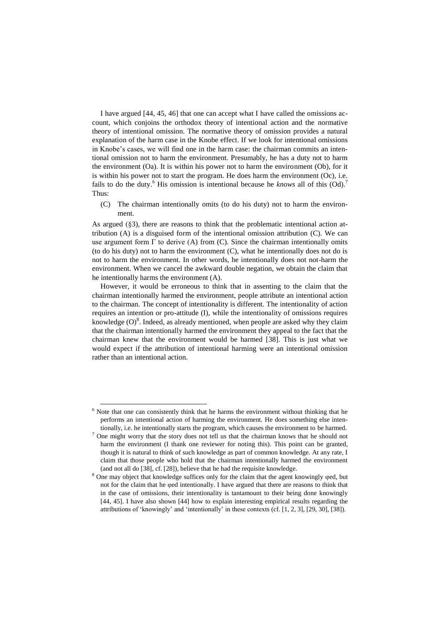I have argued [\[44,](#page-11-8) [45,](#page-11-9) [46\]](#page-11-15) that one can accept what I have called the omissions account, which conjoins the orthodox theory of intentional action and the normative theory of intentional omission. The normative theory of omission provides a natural explanation of the harm case in the Knobe effect. If we look for intentional omissions in Knobe's cases, we will find one in the harm case: the chairman commits an intentional omission not to harm the environment. Presumably, he has a duty not to harm the environment (Oa). It is within his power not to harm the environment (Ob), for it is within his power not to start the program. He does harm the environment (Oc), i.e. fails to do the duty.<sup>6</sup> His omission is intentional because he *knows* all of this (Od).<sup>7</sup> Thus:

<span id="page-5-0"></span>(C) The chairman intentionally omits (to do his duty) not to harm the environment.

As argued ([§3\)](#page-2-0), there are reasons to think that the problematic intentional action attribution (A) is a disguised form of the intentional omission attribution (C). We can use argument form  $\Gamma$  to derive (A) from (C). Since the chairman intentionally omits (to do his duty) not to harm the environment (C), what he intentionally does not do is not to harm the environment. In other words, he intentionally does not not-harm the environment. When we cancel the awkward double negation, we obtain the claim that he intentionally harms the environment (A).

However, it would be erroneous to think that in assenting to the claim that the chairman intentionally harmed the environment, people attribute an intentional action to the chairman. The concept of intentionality is different. The intentionality of action requires an intention or pro-attitude (I), while the intentionality of omissions requires knowledge  $(O)^8$ . Indeed, as already mentioned, when people are asked why they claim that the chairman intentionally harmed the environment they appeal to the fact that the chairman knew that the environment would be harmed [\[38\]](#page-11-14). This is just what we would expect if the attribution of intentional harming were an intentional omission rather than an intentional action.

-

 $6$  Note that one can consistently think that he harms the environment without thinking that he performs an intentional action of harming the environment. He does something else intentionally, i.e. he intentionally starts the program, which causes the environment to be harmed.

 $7$  One might worry that the story does not tell us that the chairman knows that he should not harm the environment (I thank one reviewer for noting this). This point can be granted, though it is natural to think of such knowledge as part of common knowledge. At any rate, I claim that those people who hold that the chairman intentionally harmed the environment (and not all do [\[38\]](#page-11-14), cf. [\[28\]](#page-10-7)), believe that he had the requisite knowledge.

<sup>&</sup>lt;sup>8</sup> One may object that knowledge suffices only for the claim that the agent knowingly oed, but not for the claim that he ed intentionally. I have argued that there are reasons to think that in the case of omissions, their intentionality is tantamount to their being done knowingly [\[44,](#page-11-8) [45\]](#page-11-9). I have also shown [\[44\]](#page-11-8) how to explain interesting empirical results regarding the attributions of 'knowingly' and 'intentionally' in these contexts (cf. [\[1,](#page-10-23) [2,](#page-10-24) [3\]](#page-10-25), [\[29,](#page-10-26) [30\]](#page-10-19), [\[38\]](#page-11-14)).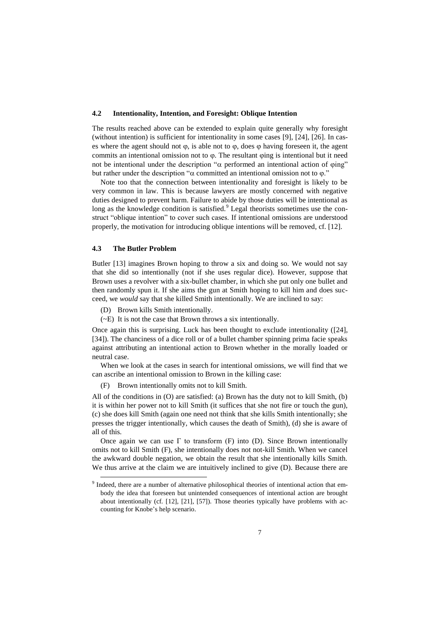#### **4.2 Intentionality, Intention, and Foresight: Oblique Intention**

The results reached above can be extended to explain quite generally why foresight (without intention) is sufficient for intentionality in some cases [\[9\]](#page-10-2), [\[24\]](#page-10-8), [\[26\]](#page-10-27). In cases where the agent should not  $\varphi$ , is able not to  $\varphi$ , does  $\varphi$  having foreseen it, the agent commits an intentional omission not to  $\varphi$ . The resultant  $\varphi$ ing is intentional but it need not be intentional under the description " $\alpha$  performed an intentional action of  $\varphi$ ing" but rather under the description " $\alpha$  committed an intentional omission not to  $\varphi$ ."

Note too that the connection between intentionality and foresight is likely to be very common in law. This is because lawyers are mostly concerned with negative duties designed to prevent harm. Failure to abide by those duties will be intentional as long as the knowledge condition is satisfied. $9$  Legal theorists sometimes use the construct "oblique intention" to cover such cases. If intentional omissions are understood properly, the motivation for introducing oblique intentions will be removed, cf. [\[12\]](#page-10-10).

#### **4.3 The Butler Problem**

-

Butler [\[13\]](#page-10-28) imagines Brown hoping to throw a six and doing so. We would not say that she did so intentionally (not if she uses regular dice). However, suppose that Brown uses a revolver with a six-bullet chamber, in which she put only one bullet and then randomly spun it. If she aims the gun at Smith hoping to kill him and does succeed, we *would* say that she killed Smith intentionally. We are inclined to say:

- (D) Brown kills Smith intentionally.
- (~E) It is not the case that Brown throws a six intentionally.

Once again this is surprising. Luck has been thought to exclude intentionality ([\[24\]](#page-10-8), [\[34\]](#page-10-9)). The chanciness of a dice roll or of a bullet chamber spinning prima facie speaks against attributing an intentional action to Brown whether in the morally loaded or neutral case.

When we look at the cases in search for intentional omissions, we will find that we can ascribe an intentional omission to Brown in the killing case:

(F) Brown intentionally omits not to kill Smith.

All of the conditions in (O) are satisfied: (a) Brown has the duty not to kill Smith, (b) it is within her power not to kill Smith (it suffices that she not fire or touch the gun), (c) she does kill Smith (again one need not think that she kills Smith intentionally; she presses the trigger intentionally, which causes the death of Smith), (d) she is aware of all of this.

Once again we can use  $\Gamma$  to transform (F) into (D). Since Brown intentionally omits not to kill Smith (F), she intentionally does not not-kill Smith. When we cancel the awkward double negation, we obtain the result that she intentionally kills Smith. We thus arrive at the claim we are intuitively inclined to give (D). Because there are

<sup>&</sup>lt;sup>9</sup> Indeed, there are a number of alternative philosophical theories of intentional action that embody the idea that foreseen but unintended consequences of intentional action are brought about intentionally (cf. [\[12\]](#page-10-10), [\[21\]](#page-10-12), [\[57\]](#page-11-12)). Those theories typically have problems with accounting for Knobe's help scenario.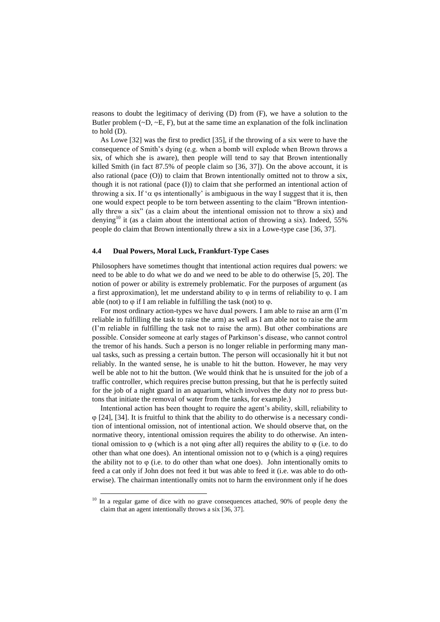reasons to doubt the legitimacy of deriving (D) from (F), we have a solution to the Butler problem  $(-D, -E, F)$ , but at the same time an explanation of the folk inclination to hold (D).

As Lowe [\[32\]](#page-10-29) was the first to predict [\[35\]](#page-11-16), if the throwing of a six were to have the consequence of Smith's dying (e.g. when a bomb will explode when Brown throws a six, of which she is aware), then people will tend to say that Brown intentionally killed Smith (in fact 87.5% of people claim so [\[36,](#page-11-17) [37\]](#page-11-18)). On the above account, it is also rational (pace (O)) to claim that Brown intentionally omitted not to throw a six, though it is not rational (pace (I)) to claim that she performed an intentional action of throwing a six. If ' $\alpha$   $\varphi$ s intentionally' is ambiguous in the way I suggest that it is, then one would expect people to be torn between assenting to the claim "Brown intentionally threw a six" (as a claim about the intentional omission not to throw a six) and denying<sup>10</sup> it (as a claim about the intentional action of throwing a six). Indeed, 55% people do claim that Brown intentionally threw a six in a Lowe-type case [\[36,](#page-11-17) [37\]](#page-11-18).

#### <span id="page-7-0"></span>**4.4 Dual Powers, Moral Luck, Frankfurt-Type Cases**

Philosophers have sometimes thought that intentional action requires dual powers: we need to be able to do what we do and we need to be able to do otherwise [\[5,](#page-10-30) [20\]](#page-10-31). The notion of power or ability is extremely problematic. For the purposes of argument (as a first approximation), let me understand ability to  $\varphi$  in terms of reliability to  $\varphi$ . I am able (not) to  $\varphi$  if I am reliable in fulfilling the task (not) to  $\varphi$ .

For most ordinary action-types we have dual powers. I am able to raise an arm (I'm reliable in fulfilling the task to raise the arm) as well as I am able not to raise the arm (I'm reliable in fulfilling the task not to raise the arm). But other combinations are possible. Consider someone at early stages of Parkinson's disease, who cannot control the tremor of his hands. Such a person is no longer reliable in performing many manual tasks, such as pressing a certain button. The person will occasionally hit it but not reliably. In the wanted sense, he is unable to hit the button. However, he may very well be able not to hit the button. (We would think that he is unsuited for the job of a traffic controller, which requires precise button pressing, but that he is perfectly suited for the job of a night guard in an aquarium, which involves the duty *not to* press buttons that initiate the removal of water from the tanks, for example.)

Intentional action has been thought to require the agent's ability, skill, reliability to  $\varphi$  [\[24\]](#page-10-8), [\[34\]](#page-10-9). It is fruitful to think that the ability to do otherwise is a necessary condition of intentional omission, not of intentional action. We should observe that, on the normative theory, intentional omission requires the ability to do otherwise. An intentional omission to  $\varphi$  (which is a not  $\varphi$ ing after all) requires the ability to  $\varphi$  (i.e. to do other than what one does). An intentional omission not to  $\varphi$  (which is a  $\varphi$ ing) requires the ability not to  $\varphi$  (i.e. to do other than what one does). John intentionally omits to feed a cat only if John does not feed it but was able to feed it (i.e. was able to do otherwise). The chairman intentionally omits not to harm the environment only if he does

-

 $10$  In a regular game of dice with no grave consequences attached, 90% of people deny the claim that an agent intentionally throws a six [\[36,](#page-11-17) [37\]](#page-11-18).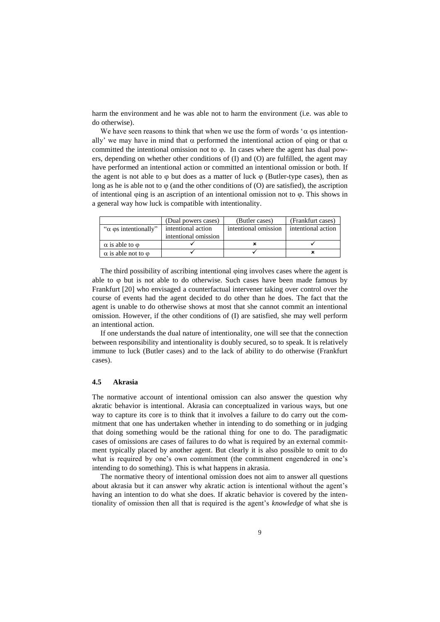harm the environment and he was able not to harm the environment (i.e. was able to do otherwise).

We have seen reasons to think that when we use the form of words ' $\alpha$   $\varphi$ s intentionally' we may have in mind that  $\alpha$  performed the intentional action of  $\varphi$ ing or that  $\alpha$ committed the intentional omission not to  $\varphi$ . In cases where the agent has dual powers, depending on whether other conditions of (I) and (O) are fulfilled, the agent may have performed an intentional action or committed an intentional omission or both. If the agent is not able to  $\varphi$  but does as a matter of luck  $\varphi$  (Butler-type cases), then as long as he is able not to  $\varphi$  (and the other conditions of (O) are satisfied), the ascription of intentional wing is an ascription of an intentional omission not to  $\varphi$ . This shows in a general way how luck is compatible with intentionality.

|                                   | (Dual powers cases)  | (Butler cases)       | (Frankfurt cases)  |
|-----------------------------------|----------------------|----------------------|--------------------|
| " $\alpha$ os intentionally"      | intentional action   | intentional omission | intentional action |
|                                   | intentional omission |                      |                    |
| $\alpha$ is able to $\omega$      |                      |                      |                    |
| $\alpha$ is able not to $\varphi$ |                      |                      |                    |

The third possibility of ascribing intentional only involves cases where the agent is able to but is not able to do otherwise. Such cases have been made famous by Frankfurt [\[20\]](#page-10-31) who envisaged a counterfactual intervener taking over control over the course of events had the agent decided to do other than he does. The fact that the agent is unable to do otherwise shows at most that she cannot commit an intentional omission. However, if the other conditions of (I) are satisfied, she may well perform an intentional action.

If one understands the dual nature of intentionality, one will see that the connection between responsibility and intentionality is doubly secured, so to speak. It is relatively immune to luck (Butler cases) and to the lack of ability to do otherwise (Frankfurt cases).

#### **4.5 Akrasia**

The normative account of intentional omission can also answer the question why akratic behavior is intentional. Akrasia can conceptualized in various ways, but one way to capture its core is to think that it involves a failure to do carry out the commitment that one has undertaken whether in intending to do something or in judging that doing something would be the rational thing for one to do. The paradigmatic cases of omissions are cases of failures to do what is required by an external commitment typically placed by another agent. But clearly it is also possible to omit to do what is required by one's own commitment (the commitment engendered in one's intending to do something). This is what happens in akrasia.

The normative theory of intentional omission does not aim to answer all questions about akrasia but it can answer why akratic action is intentional without the agent's having an intention to do what she does. If akratic behavior is covered by the intentionality of omission then all that is required is the agent's *knowledge* of what she is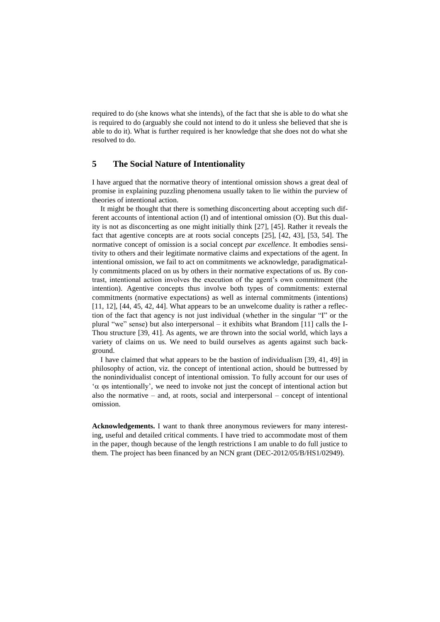required to do (she knows what she intends), of the fact that she is able to do what she is required to do (arguably she could not intend to do it unless she believed that she is able to do it). What is further required is her knowledge that she does not do what she resolved to do.

### **5 The Social Nature of Intentionality**

I have argued that the normative theory of intentional omission shows a great deal of promise in explaining puzzling phenomena usually taken to lie within the purview of theories of intentional action.

It might be thought that there is something disconcerting about accepting such different accounts of intentional action (I) and of intentional omission (O). But this duality is not as disconcerting as one might initially think [\[27\]](#page-10-32), [\[45\]](#page-11-9). Rather it reveals the fact that agentive concepts are at roots social concepts [\[25\]](#page-10-33), [\[42,](#page-11-13) [43\]](#page-11-11), [\[53,](#page-11-19) [54\]](#page-11-20). The normative concept of omission is a social concept *par excellence*. It embodies sensitivity to others and their legitimate normative claims and expectations of the agent. In intentional omission, we fail to act on commitments we acknowledge, paradigmatically commitments placed on us by others in their normative expectations of us. By contrast, intentional action involves the execution of the agent's own commitment (the intention). Agentive concepts thus involve both types of commitments: external commitments (normative expectations) as well as internal commitments (intentions) [\[11,](#page-10-14) [12\]](#page-10-10), [\[44,](#page-11-8) [45,](#page-11-9) [42,](#page-11-13) [44\]](#page-11-8). What appears to be an unwelcome duality is rather a reflection of the fact that agency is not just individual (whether in the singular "I" or the plural "we" sense) but also interpersonal – it exhibits what Brandom [\[11\]](#page-10-14) calls the I-Thou structure [\[39,](#page-11-21) [41\]](#page-11-22). As agents, we are thrown into the social world, which lays a variety of claims on us. We need to build ourselves as agents against such background.

I have claimed that what appears to be the bastion of individualism [\[39,](#page-11-21) [41,](#page-11-22) [49\]](#page-11-23) in philosophy of action, viz. the concept of intentional action, should be buttressed by the nonindividualist concept of intentional omission. To fully account for our uses of ' $\alpha$   $\varphi$  intentionally', we need to invoke not just the concept of intentional action but also the normative – and, at roots, social and interpersonal – concept of intentional omission.

**Acknowledgements.** I want to thank three anonymous reviewers for many interesting, useful and detailed critical comments. I have tried to accommodate most of them in the paper, though because of the length restrictions I am unable to do full justice to them. The project has been financed by an NCN grant (DEC-2012/05/B/HS1/02949).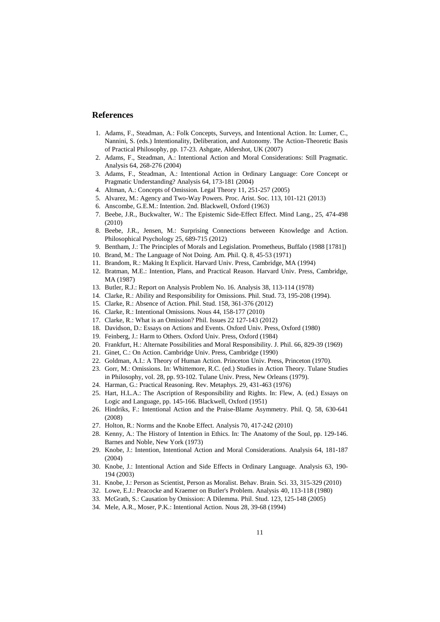### **References**

- <span id="page-10-23"></span>1. Adams, F., Steadman, A.: Folk Concepts, Surveys, and Intentional Action. In: Lumer, C., Nannini, S. (eds.) Intentionality, Deliberation, and Autonomy. The Action-Theoretic Basis of Practical Philosophy, pp. 17-23. Ashgate, Aldershot, UK (2007)
- <span id="page-10-24"></span>2. Adams, F., Steadman, A.: Intentional Action and Moral Considerations: Still Pragmatic. Analysis 64, 268-276 (2004)
- <span id="page-10-25"></span>3. Adams, F., Steadman, A.: Intentional Action in Ordinary Language: Core Concept or Pragmatic Understanding? Analysis 64, 173-181 (2004)
- <span id="page-10-3"></span>4. Altman, A.: Concepts of Omission. Legal Theory 11, 251-257 (2005)
- <span id="page-10-30"></span>5. Alvarez, M.: Agency and Two-Way Powers. Proc. Arist. Soc. 113, 101-121 (2013)
- <span id="page-10-18"></span>6. Anscombe, G.E.M.: Intention. 2nd. Blackwell, Oxford (1963)
- <span id="page-10-21"></span>7. Beebe, J.R., Buckwalter, W.: The Epistemic Side-Effect Effect. Mind Lang., 25, 474-498 (2010)
- <span id="page-10-22"></span>8. Beebe, J.R., Jensen, M.: Surprising Connections betweeen Knowledge and Action. Philosophical Psychology 25, 689-715 (2012)
- <span id="page-10-2"></span>9. Bentham, J.: The Principles of Morals and Legislation. Prometheus, Buffalo (1988 [1781])
- <span id="page-10-4"></span>10. Brand, M.: The Language of Not Doing. Am. Phil. Q. 8, 45-53 (1971)
- <span id="page-10-14"></span>11. Brandom, R.: Making It Explicit. Harvard Univ. Press, Cambridge, MA (1994)
- <span id="page-10-10"></span>12. Bratman, M.E.: Intention, Plans, and Practical Reason. Harvard Univ. Press, Cambridge, MA (1987)
- <span id="page-10-28"></span>13. Butler, R.J.: Report on Analysis Problem No. 16. Analysis 38, 113-114 (1978)
- <span id="page-10-5"></span>14. Clarke, R.: Ability and Responsibility for Omissions. Phil. Stud. 73, 195-208 (1994).
- <span id="page-10-15"></span>15. Clarke, R.: Absence of Action. Phil. Stud. 158, 361-376 (2012)
- <span id="page-10-16"></span>16. Clarke, R.: Intentional Omissions. Nous 44, 158-177 (2010)
- <span id="page-10-17"></span>17. Clarke, R.: What is an Omission? Phil. Issues 22 127-143 (2012)
- <span id="page-10-11"></span>18. Davidson, D.: Essays on Actions and Events. Oxford Univ. Press, Oxford (1980)
- <span id="page-10-0"></span>19. Feinberg, J.: Harm to Others. Oxford Univ. Press, Oxford (1984)
- <span id="page-10-31"></span>20. Frankfurt, H.: Alternate Possibilities and Moral Responsibility. J. Phil. 66, 829-39 (1969)
- <span id="page-10-12"></span>21. Ginet, C.: On Action. Cambridge Univ. Press, Cambridge (1990)
- <span id="page-10-13"></span>22. Goldman, A.I.: A Theory of Human Action. Princeton Univ. Press, Princeton (1970).
- <span id="page-10-1"></span>23. Gorr, M.: Omissions. In: Whittemore, R.C. (ed.) Studies in Action Theory. Tulane Studies in Philosophy, vol. 28, pp. 93-102. Tulane Univ. Press, New Orleans (1979).
- <span id="page-10-8"></span>24. Harman, G.: Practical Reasoning. Rev. Metaphys. 29, 431-463 (1976)
- <span id="page-10-33"></span>25. Hart, H.L.A.: The Ascription of Responsibility and Rights. In: Flew, A. (ed.) Essays on Logic and Language, pp. 145-166. Blackwell, Oxford (1951)
- <span id="page-10-27"></span>26. Hindriks, F.: Intentional Action and the Praise-Blame Asymmetry. Phil. Q. 58, 630-641 (2008)
- <span id="page-10-32"></span>27. Holton, R.: Norms and the Knobe Effect. Analysis 70, 417-242 (2010)
- <span id="page-10-7"></span>28. Kenny, A.: The History of Intention in Ethics. In: The Anatomy of the Soul, pp. 129-146. Barnes and Noble, New York (1973)
- <span id="page-10-26"></span>29. Knobe, J.: Intention, Intentional Action and Moral Considerations. Analysis 64, 181-187 (2004)
- <span id="page-10-19"></span>30. Knobe, J.: Intentional Action and Side Effects in Ordinary Language. Analysis 63, 190- 194 (2003)
- <span id="page-10-20"></span>31. Knobe, J.: Person as Scientist, Person as Moralist. Behav. Brain. Sci. 33, 315-329 (2010)
- <span id="page-10-29"></span>32. Lowe, E.J.: Peacocke and Kraemer on Butler's Problem. Analysis 40, 113-118 (1980)
- <span id="page-10-6"></span>33. McGrath, S.: Causation by Omission: A Dilemma. Phil. Stud. 123, 125-148 (2005)
- <span id="page-10-9"></span>34. Mele, A.R., Moser, P.K.: Intentional Action. Nous 28, 39-68 (1994)